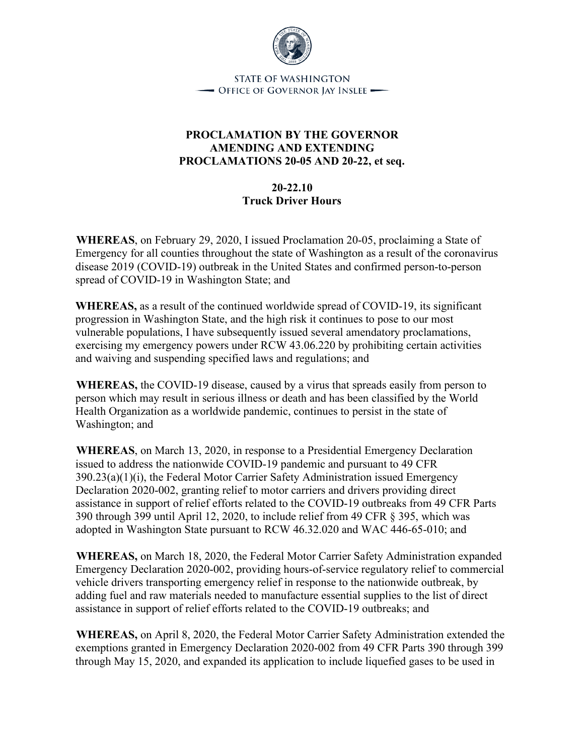

**STATE OF WASHINGTON** - Office of Governor Jay Inslee —

## **PROCLAMATION BY THE GOVERNOR AMENDING AND EXTENDING PROCLAMATIONS 20-05 AND 20-22, et seq.**

## **20-22.10 Truck Driver Hours**

**WHEREAS**, on February 29, 2020, I issued Proclamation 20-05, proclaiming a State of Emergency for all counties throughout the state of Washington as a result of the coronavirus disease 2019 (COVID-19) outbreak in the United States and confirmed person-to-person spread of COVID-19 in Washington State; and

**WHEREAS,** as a result of the continued worldwide spread of COVID-19, its significant progression in Washington State, and the high risk it continues to pose to our most vulnerable populations, I have subsequently issued several amendatory proclamations, exercising my emergency powers under RCW 43.06.220 by prohibiting certain activities and waiving and suspending specified laws and regulations; and

**WHEREAS,** the COVID-19 disease, caused by a virus that spreads easily from person to person which may result in serious illness or death and has been classified by the World Health Organization as a worldwide pandemic, continues to persist in the state of Washington; and

**WHEREAS**, on March 13, 2020, in response to a Presidential Emergency Declaration issued to address the nationwide COVID-19 pandemic and pursuant to 49 CFR 390.23(a)(1)(i), the Federal Motor Carrier Safety Administration issued Emergency Declaration 2020-002, granting relief to motor carriers and drivers providing direct assistance in support of relief efforts related to the COVID-19 outbreaks from 49 CFR Parts 390 through 399 until April 12, 2020, to include relief from 49 CFR § 395, which was adopted in Washington State pursuant to RCW 46.32.020 and WAC 446-65-010; and

**WHEREAS,** on March 18, 2020, the Federal Motor Carrier Safety Administration expanded Emergency Declaration 2020-002, providing hours-of-service regulatory relief to commercial vehicle drivers transporting emergency relief in response to the nationwide outbreak, by adding fuel and raw materials needed to manufacture essential supplies to the list of direct assistance in support of relief efforts related to the COVID-19 outbreaks; and

**WHEREAS,** on April 8, 2020, the Federal Motor Carrier Safety Administration extended the exemptions granted in Emergency Declaration 2020-002 from 49 CFR Parts 390 through 399 through May 15, 2020, and expanded its application to include liquefied gases to be used in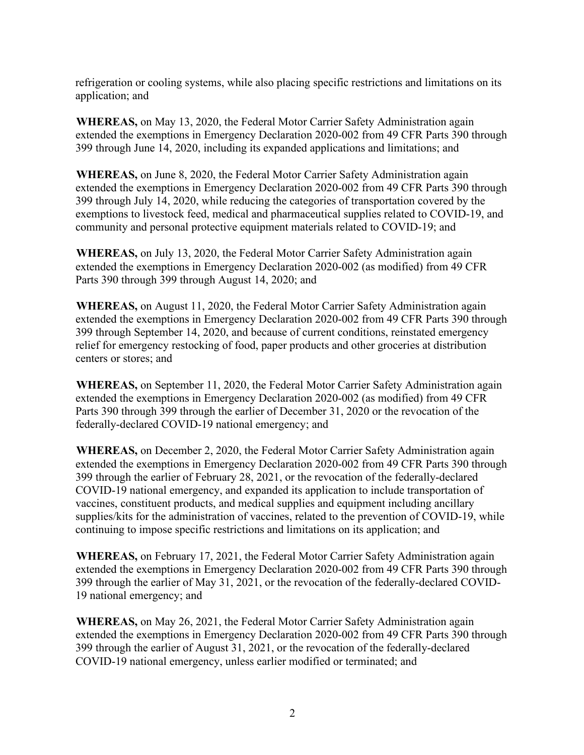refrigeration or cooling systems, while also placing specific restrictions and limitations on its application; and

**WHEREAS,** on May 13, 2020, the Federal Motor Carrier Safety Administration again extended the exemptions in Emergency Declaration 2020-002 from 49 CFR Parts 390 through 399 through June 14, 2020, including its expanded applications and limitations; and

**WHEREAS,** on June 8, 2020, the Federal Motor Carrier Safety Administration again extended the exemptions in Emergency Declaration 2020-002 from 49 CFR Parts 390 through 399 through July 14, 2020, while reducing the categories of transportation covered by the exemptions to livestock feed, medical and pharmaceutical supplies related to COVID-19, and community and personal protective equipment materials related to COVID-19; and

**WHEREAS,** on July 13, 2020, the Federal Motor Carrier Safety Administration again extended the exemptions in Emergency Declaration 2020-002 (as modified) from 49 CFR Parts 390 through 399 through August 14, 2020; and

**WHEREAS,** on August 11, 2020, the Federal Motor Carrier Safety Administration again extended the exemptions in Emergency Declaration 2020-002 from 49 CFR Parts 390 through 399 through September 14, 2020, and because of current conditions, reinstated emergency relief for emergency restocking of food, paper products and other groceries at distribution centers or stores; and

**WHEREAS,** on September 11, 2020, the Federal Motor Carrier Safety Administration again extended the exemptions in Emergency Declaration 2020-002 (as modified) from 49 CFR Parts 390 through 399 through the earlier of December 31, 2020 or the revocation of the federally-declared COVID-19 national emergency; and

**WHEREAS,** on December 2, 2020, the Federal Motor Carrier Safety Administration again extended the exemptions in Emergency Declaration 2020-002 from 49 CFR Parts 390 through 399 through the earlier of February 28, 2021, or the revocation of the federally-declared COVID-19 national emergency, and expanded its application to include transportation of vaccines, constituent products, and medical supplies and equipment including ancillary supplies/kits for the administration of vaccines, related to the prevention of COVID-19, while continuing to impose specific restrictions and limitations on its application; and

**WHEREAS,** on February 17, 2021, the Federal Motor Carrier Safety Administration again extended the exemptions in Emergency Declaration 2020-002 from 49 CFR Parts 390 through 399 through the earlier of May 31, 2021, or the revocation of the federally-declared COVID-19 national emergency; and

**WHEREAS,** on May 26, 2021, the Federal Motor Carrier Safety Administration again extended the exemptions in Emergency Declaration 2020-002 from 49 CFR Parts 390 through 399 through the earlier of August 31, 2021, or the revocation of the federally-declared COVID-19 national emergency, unless earlier modified or terminated; and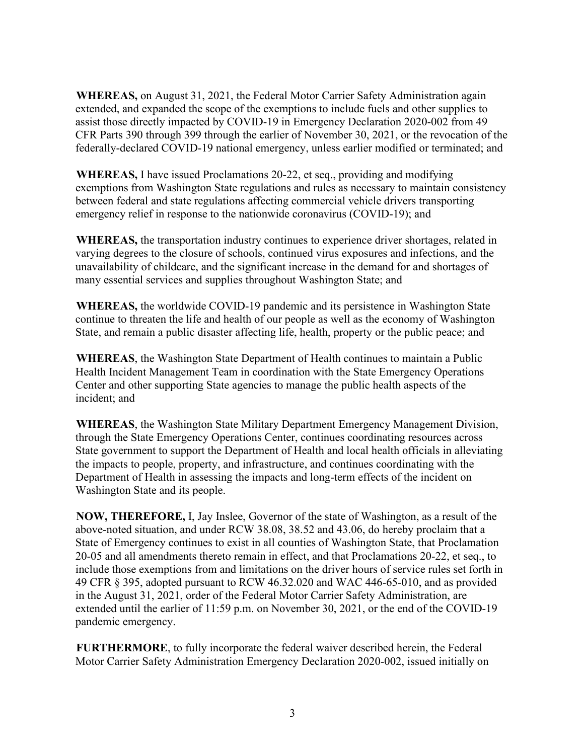**WHEREAS,** on August 31, 2021, the Federal Motor Carrier Safety Administration again extended, and expanded the scope of the exemptions to include fuels and other supplies to assist those directly impacted by COVID-19 in Emergency Declaration 2020-002 from 49 CFR Parts 390 through 399 through the earlier of November 30, 2021, or the revocation of the federally-declared COVID-19 national emergency, unless earlier modified or terminated; and

**WHEREAS,** I have issued Proclamations 20-22, et seq., providing and modifying exemptions from Washington State regulations and rules as necessary to maintain consistency between federal and state regulations affecting commercial vehicle drivers transporting emergency relief in response to the nationwide coronavirus (COVID-19); and

**WHEREAS,** the transportation industry continues to experience driver shortages, related in varying degrees to the closure of schools, continued virus exposures and infections, and the unavailability of childcare, and the significant increase in the demand for and shortages of many essential services and supplies throughout Washington State; and

**WHEREAS,** the worldwide COVID-19 pandemic and its persistence in Washington State continue to threaten the life and health of our people as well as the economy of Washington State, and remain a public disaster affecting life, health, property or the public peace; and

**WHEREAS**, the Washington State Department of Health continues to maintain a Public Health Incident Management Team in coordination with the State Emergency Operations Center and other supporting State agencies to manage the public health aspects of the incident; and

**WHEREAS**, the Washington State Military Department Emergency Management Division, through the State Emergency Operations Center, continues coordinating resources across State government to support the Department of Health and local health officials in alleviating the impacts to people, property, and infrastructure, and continues coordinating with the Department of Health in assessing the impacts and long-term effects of the incident on Washington State and its people.

**NOW, THEREFORE,** I, Jay Inslee, Governor of the state of Washington, as a result of the above-noted situation, and under RCW 38.08, 38.52 and 43.06, do hereby proclaim that a State of Emergency continues to exist in all counties of Washington State, that Proclamation 20-05 and all amendments thereto remain in effect, and that Proclamations 20-22, et seq., to include those exemptions from and limitations on the driver hours of service rules set forth in 49 CFR § 395, adopted pursuant to RCW 46.32.020 and WAC 446-65-010, and as provided in the August 31, 2021, order of the Federal Motor Carrier Safety Administration, are extended until the earlier of 11:59 p.m. on November 30, 2021, or the end of the COVID-19 pandemic emergency.

**FURTHERMORE**, to fully incorporate the federal waiver described herein, the Federal Motor Carrier Safety Administration Emergency Declaration 2020-002, issued initially on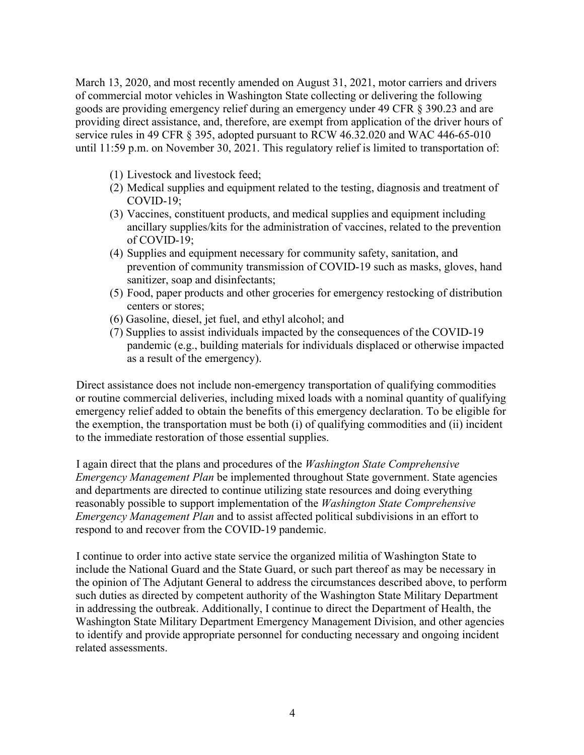March 13, 2020, and most recently amended on August 31, 2021, motor carriers and drivers of commercial motor vehicles in Washington State collecting or delivering the following goods are providing emergency relief during an emergency under 49 CFR § 390.23 and are providing direct assistance, and, therefore, are exempt from application of the driver hours of service rules in 49 CFR § 395, adopted pursuant to RCW 46.32.020 and WAC 446-65-010 until 11:59 p.m. on November 30, 2021. This regulatory relief is limited to transportation of:

- (1) Livestock and livestock feed;
- (2) Medical supplies and equipment related to the testing, diagnosis and treatment of COVID-19;
- (3) Vaccines, constituent products, and medical supplies and equipment including ancillary supplies/kits for the administration of vaccines, related to the prevention of COVID-19;
- (4) Supplies and equipment necessary for community safety, sanitation, and prevention of community transmission of COVID-19 such as masks, gloves, hand sanitizer, soap and disinfectants;
- (5) Food, paper products and other groceries for emergency restocking of distribution centers or stores;
- (6) Gasoline, diesel, jet fuel, and ethyl alcohol; and
- (7) Supplies to assist individuals impacted by the consequences of the COVID-19 pandemic (e.g., building materials for individuals displaced or otherwise impacted as a result of the emergency).

Direct assistance does not include non-emergency transportation of qualifying commodities or routine commercial deliveries, including mixed loads with a nominal quantity of qualifying emergency relief added to obtain the benefits of this emergency declaration. To be eligible for the exemption, the transportation must be both (i) of qualifying commodities and (ii) incident to the immediate restoration of those essential supplies.

I again direct that the plans and procedures of the *Washington State Comprehensive Emergency Management Plan* be implemented throughout State government. State agencies and departments are directed to continue utilizing state resources and doing everything reasonably possible to support implementation of the *Washington State Comprehensive Emergency Management Plan* and to assist affected political subdivisions in an effort to respond to and recover from the COVID-19 pandemic.

I continue to order into active state service the organized militia of Washington State to include the National Guard and the State Guard, or such part thereof as may be necessary in the opinion of The Adjutant General to address the circumstances described above, to perform such duties as directed by competent authority of the Washington State Military Department in addressing the outbreak. Additionally, I continue to direct the Department of Health, the Washington State Military Department Emergency Management Division, and other agencies to identify and provide appropriate personnel for conducting necessary and ongoing incident related assessments.